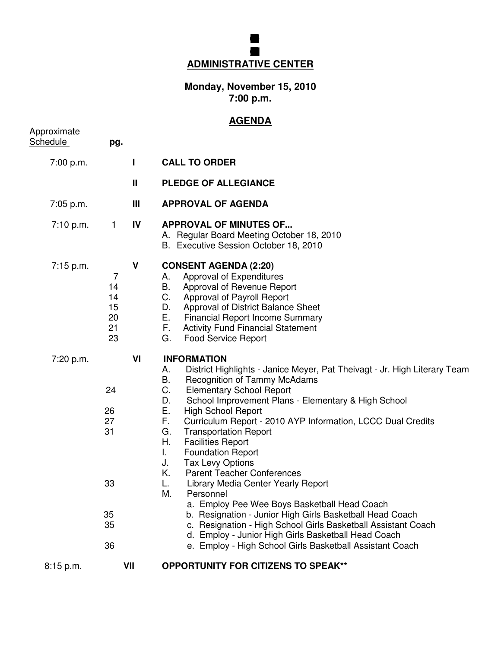## **GRENFILD COMUNITY SCHOL BOARD FEUCATION MEG ADMINISTRATIVE CENTER**

## **Monday, November 15, 2010 7:00 p.m.**

## **AGENDA**

| Approximate<br><b>Schedule</b> | pg.                                          |              |                                                                                                                                                                                                                                                                                                                                                                                                                                                                                                                                                                                                                                                                                                                                                                                                                                                                                                                       |
|--------------------------------|----------------------------------------------|--------------|-----------------------------------------------------------------------------------------------------------------------------------------------------------------------------------------------------------------------------------------------------------------------------------------------------------------------------------------------------------------------------------------------------------------------------------------------------------------------------------------------------------------------------------------------------------------------------------------------------------------------------------------------------------------------------------------------------------------------------------------------------------------------------------------------------------------------------------------------------------------------------------------------------------------------|
| 7:00 p.m.                      |                                              | $\mathbf{I}$ | <b>CALL TO ORDER</b>                                                                                                                                                                                                                                                                                                                                                                                                                                                                                                                                                                                                                                                                                                                                                                                                                                                                                                  |
|                                |                                              | Ш            | <b>PLEDGE OF ALLEGIANCE</b>                                                                                                                                                                                                                                                                                                                                                                                                                                                                                                                                                                                                                                                                                                                                                                                                                                                                                           |
| 7:05 p.m.                      |                                              | Ш            | <b>APPROVAL OF AGENDA</b>                                                                                                                                                                                                                                                                                                                                                                                                                                                                                                                                                                                                                                                                                                                                                                                                                                                                                             |
| 7:10 p.m.                      | $\mathbf{1}$                                 | IV           | <b>APPROVAL OF MINUTES OF</b><br>A. Regular Board Meeting October 18, 2010<br>B. Executive Session October 18, 2010                                                                                                                                                                                                                                                                                                                                                                                                                                                                                                                                                                                                                                                                                                                                                                                                   |
| $7:15$ p.m.                    | 7<br>14<br>14<br>15<br>20<br>21<br>23        | V            | <b>CONSENT AGENDA (2:20)</b><br>Approval of Expenditures<br>А.<br>В.<br>Approval of Revenue Report<br>C.<br>Approval of Payroll Report<br>Approval of District Balance Sheet<br>D.<br>Е.<br><b>Financial Report Income Summary</b><br>F.<br><b>Activity Fund Financial Statement</b><br>G.<br><b>Food Service Report</b>                                                                                                                                                                                                                                                                                                                                                                                                                                                                                                                                                                                              |
| 7:20 p.m.                      | 24<br>26<br>27<br>31<br>33<br>35<br>35<br>36 | VI           | <b>INFORMATION</b><br>District Highlights - Janice Meyer, Pat Theivagt - Jr. High Literary Team<br>А.<br>В.<br><b>Recognition of Tammy McAdams</b><br>C.<br><b>Elementary School Report</b><br>D.<br>School Improvement Plans - Elementary & High School<br>Е.<br><b>High School Report</b><br>F.<br>Curriculum Report - 2010 AYP Information, LCCC Dual Credits<br>G.<br><b>Transportation Report</b><br>Η.<br><b>Facilities Report</b><br><b>Foundation Report</b><br>L.<br><b>Tax Levy Options</b><br>J.<br>Κ.<br><b>Parent Teacher Conferences</b><br>Library Media Center Yearly Report<br>L.<br>М.<br>Personnel<br>a. Employ Pee Wee Boys Basketball Head Coach<br>b. Resignation - Junior High Girls Basketball Head Coach<br>c. Resignation - High School Girls Basketball Assistant Coach<br>d. Employ - Junior High Girls Basketball Head Coach<br>e. Employ - High School Girls Basketball Assistant Coach |
| 8:15 p.m.                      |                                              | VII          | <b>OPPORTUNITY FOR CITIZENS TO SPEAK**</b>                                                                                                                                                                                                                                                                                                                                                                                                                                                                                                                                                                                                                                                                                                                                                                                                                                                                            |
|                                |                                              |              |                                                                                                                                                                                                                                                                                                                                                                                                                                                                                                                                                                                                                                                                                                                                                                                                                                                                                                                       |